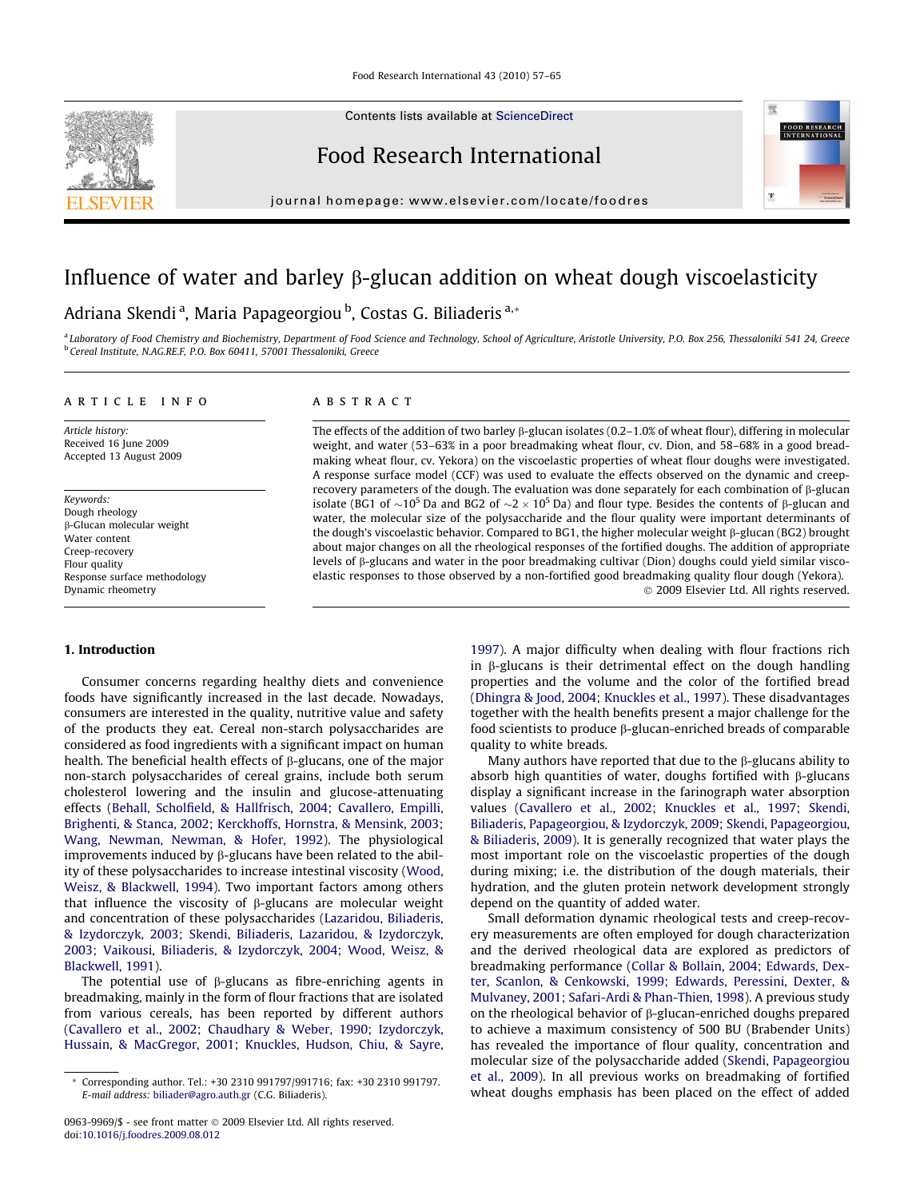Contents lists available at [ScienceDirect](http://www.sciencedirect.com/science/journal/09639969)



# Food Research International

journal homepage: [www.elsevier.com/locate/foodres](http://www.elsevier.com/locate/foodres)

# Influence of water and barley  $\beta$ -glucan addition on wheat dough viscoelasticity

## Adriana Skendi<sup>a</sup>, Maria Papageorgiou <sup>b</sup>, Costas G. Biliaderis <sup>a,</sup>\*

a Laboratory of Food Chemistry and Biochemistry, Department of Food Science and Technology, School of Agriculture, Aristotle University, P.O. Box 256, Thessaloniki 541 24, Greece <sup>b</sup> Cereal Institute, N.AG.RE.F, P.O. Box 60411, 57001 Thessaloniki, Greece

#### article info

Article history: Received 16 June 2009 Accepted 13 August 2009

Keywords: Dough rheology b-Glucan molecular weight Water content Creep-recovery Flour quality Response surface methodology Dynamic rheometry

### 1. Introduction

Consumer concerns regarding healthy diets and convenience foods have significantly increased in the last decade. Nowadays, consumers are interested in the quality, nutritive value and safety of the products they eat. Cereal non-starch polysaccharides are considered as food ingredients with a significant impact on human health. The beneficial health effects of  $\beta$ -glucans, one of the major non-starch polysaccharides of cereal grains, include both serum cholesterol lowering and the insulin and glucose-attenuating effects [\(Behall, Scholfield, & Hallfrisch, 2004; Cavallero, Empilli,](#page-7-0) [Brighenti, & Stanca, 2002; Kerckhoffs, Hornstra, & Mensink, 2003;](#page-7-0) [Wang, Newman, Newman, & Hofer, 1992](#page-7-0)). The physiological improvements induced by  $\beta$ -glucans have been related to the ability of these polysaccharides to increase intestinal viscosity [\(Wood,](#page-8-0) [Weisz, & Blackwell, 1994](#page-8-0)). Two important factors among others that influence the viscosity of  $\beta$ -glucans are molecular weight and concentration of these polysaccharides ([Lazaridou, Biliaderis,](#page-8-0) [& Izydorczyk, 2003; Skendi, Biliaderis, Lazaridou, & Izydorczyk,](#page-8-0) [2003; Vaikousi, Biliaderis, & Izydorczyk, 2004; Wood, Weisz, &](#page-8-0) [Blackwell, 1991](#page-8-0)).

The potential use of  $\beta$ -glucans as fibre-enriching agents in breadmaking, mainly in the form of flour fractions that are isolated from various cereals, has been reported by different authors ([Cavallero et al., 2002; Chaudhary & Weber, 1990; Izydorczyk,](#page-7-0) [Hussain, & MacGregor, 2001; Knuckles, Hudson, Chiu, & Sayre,](#page-7-0)

## **ABSTRACT**

The effects of the addition of two barley  $\beta$ -glucan isolates (0.2–1.0% of wheat flour), differing in molecular weight, and water (53–63% in a poor breadmaking wheat flour, cv. Dion, and 58–68% in a good breadmaking wheat flour, cv. Yekora) on the viscoelastic properties of wheat flour doughs were investigated. A response surface model (CCF) was used to evaluate the effects observed on the dynamic and creeprecovery parameters of the dough. The evaluation was done separately for each combination of  $\beta$ -glucan isolate (BG1 of  $\sim$ 10<sup>5</sup> Da and BG2 of  $\sim$ 2  $\times$  10<sup>5</sup> Da) and flour type. Besides the contents of  $\beta$ -glucan and water, the molecular size of the polysaccharide and the flour quality were important determinants of the dough's viscoelastic behavior. Compared to BG1, the higher molecular weight  $\beta$ -glucan (BG2) brought about major changes on all the rheological responses of the fortified doughs. The addition of appropriate levels of  $\beta$ -glucans and water in the poor breadmaking cultivar (Dion) doughs could yield similar viscoelastic responses to those observed by a non-fortified good breadmaking quality flour dough (Yekora). - 2009 Elsevier Ltd. All rights reserved.

> [1997\)](#page-7-0). A major difficulty when dealing with flour fractions rich in  $\beta$ -glucans is their detrimental effect on the dough handling properties and the volume and the color of the fortified bread ([Dhingra & Jood, 2004; Knuckles et al., 1997\)](#page-7-0). These disadvantages together with the health benefits present a major challenge for the food scientists to produce  $\beta$ -glucan-enriched breads of comparable quality to white breads.

FOOD RESEARCH

 $\mathbf{F}$ 

Many authors have reported that due to the  $\beta$ -glucans ability to absorb high quantities of water, doughs fortified with  $\beta$ -glucans display a significant increase in the farinograph water absorption values ([Cavallero et al., 2002; Knuckles et al., 1997; Skendi,](#page-7-0) [Biliaderis, Papageorgiou, & Izydorczyk, 2009; Skendi, Papageorgiou,](#page-7-0) [& Biliaderis, 2009\)](#page-7-0). It is generally recognized that water plays the most important role on the viscoelastic properties of the dough during mixing; i.e. the distribution of the dough materials, their hydration, and the gluten protein network development strongly depend on the quantity of added water.

Small deformation dynamic rheological tests and creep-recovery measurements are often employed for dough characterization and the derived rheological data are explored as predictors of breadmaking performance [\(Collar & Bollain, 2004; Edwards, Dex](#page-7-0)[ter, Scanlon, & Cenkowski, 1999; Edwards, Peressini, Dexter, &](#page-7-0) [Mulvaney, 2001; Safari-Ardi & Phan-Thien, 1998\)](#page-7-0). A previous study on the rheological behavior of  $\beta$ -glucan-enriched doughs prepared to achieve a maximum consistency of 500 BU (Brabender Units) has revealed the importance of flour quality, concentration and molecular size of the polysaccharide added ([Skendi, Papageorgiou](#page-8-0) [et al., 2009](#page-8-0)). In all previous works on breadmaking of fortified wheat doughs emphasis has been placed on the effect of added

Corresponding author. Tel.: +30 2310 991797/991716; fax: +30 2310 991797. E-mail address: [biliader@agro.auth.gr](mailto:biliader@agro.auth.gr) (C.G. Biliaderis).

<sup>0963-9969/\$ -</sup> see front matter © 2009 Elsevier Ltd. All rights reserved. doi[:10.1016/j.foodres.2009.08.012](http://dx.doi.org/10.1016/j.foodres.2009.08.012)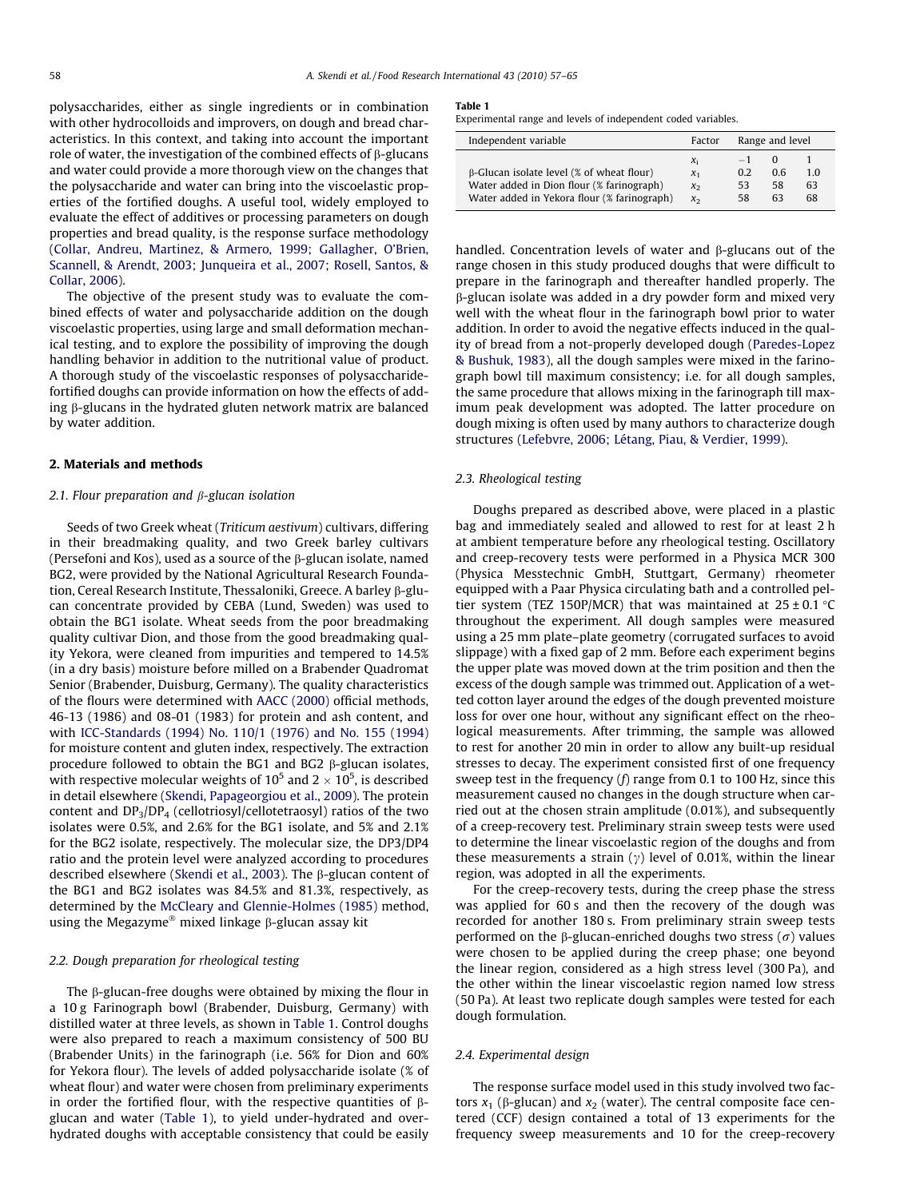<span id="page-1-0"></span>polysaccharides, either as single ingredients or in combination with other hydrocolloids and improvers, on dough and bread characteristics. In this context, and taking into account the important role of water, the investigation of the combined effects of  $\beta$ -glucans and water could provide a more thorough view on the changes that the polysaccharide and water can bring into the viscoelastic properties of the fortified doughs. A useful tool, widely employed to evaluate the effect of additives or processing parameters on dough properties and bread quality, is the response surface methodology ([Collar, Andreu, Martinez, & Armero, 1999; Gallagher, O'Brien,](#page-7-0) [Scannell, & Arendt, 2003; Junqueira et al., 2007; Rosell, Santos, &](#page-7-0) [Collar, 2006](#page-7-0)).

The objective of the present study was to evaluate the combined effects of water and polysaccharide addition on the dough viscoelastic properties, using large and small deformation mechanical testing, and to explore the possibility of improving the dough handling behavior in addition to the nutritional value of product. A thorough study of the viscoelastic responses of polysaccharidefortified doughs can provide information on how the effects of adding  $\beta$ -glucans in the hydrated gluten network matrix are balanced by water addition.

#### 2. Materials and methods

### 2.1. Flour preparation and  $\beta$ -glucan isolation

Seeds of two Greek wheat (Triticum aestivum) cultivars, differing in their breadmaking quality, and two Greek barley cultivars (Persefoni and Kos), used as a source of the  $\beta$ -glucan isolate, named BG2, were provided by the National Agricultural Research Foundation, Cereal Research Institute, Thessaloniki, Greece. A barley b-glucan concentrate provided by CEBA (Lund, Sweden) was used to obtain the BG1 isolate. Wheat seeds from the poor breadmaking quality cultivar Dion, and those from the good breadmaking quality Yekora, were cleaned from impurities and tempered to 14.5% (in a dry basis) moisture before milled on a Brabender Quadromat Senior (Brabender, Duisburg, Germany). The quality characteristics of the flours were determined with [AACC \(2000\)](#page-7-0) official methods, 46-13 (1986) and 08-01 (1983) for protein and ash content, and with [ICC-Standards \(1994\) No. 110/1 \(1976\) and No. 155 \(1994\)](#page-8-0) for moisture content and gluten index, respectively. The extraction procedure followed to obtain the BG1 and BG2  $\beta$ -glucan isolates, with respective molecular weights of 10<sup>5</sup> and 2  $\times$  10<sup>5</sup>, is described in detail elsewhere [\(Skendi, Papageorgiou et al., 2009](#page-8-0)). The protein content and  $DP_3/DP_4$  (cellotriosyl/cellotetraosyl) ratios of the two isolates were 0.5%, and 2.6% for the BG1 isolate, and 5% and 2.1% for the BG2 isolate, respectively. The molecular size, the DP3/DP4 ratio and the protein level were analyzed according to procedures described elsewhere ([Skendi et al., 2003\)](#page-8-0). The  $\beta$ -glucan content of the BG1 and BG2 isolates was 84.5% and 81.3%, respectively, as determined by the [McCleary and Glennie-Holmes \(1985\)](#page-8-0) method, using the Megazyme<sup>®</sup> mixed linkage  $\beta$ -glucan assay kit

#### 2.2. Dough preparation for rheological testing

The  $\beta$ -glucan-free doughs were obtained by mixing the flour in a 10 g Farinograph bowl (Brabender, Duisburg, Germany) with distilled water at three levels, as shown in Table 1. Control doughs were also prepared to reach a maximum consistency of 500 BU (Brabender Units) in the farinograph (i.e. 56% for Dion and 60% for Yekora flour). The levels of added polysaccharide isolate (% of wheat flour) and water were chosen from preliminary experiments in order the fortified flour, with the respective quantities of  $\beta$ glucan and water (Table 1), to yield under-hydrated and overhydrated doughs with acceptable consistency that could be easily

#### Table 1

Experimental range and levels of independent coded variables.

| Independent variable                                                                                                                         | Factor                                 | Range and level         |                            |                |  |  |
|----------------------------------------------------------------------------------------------------------------------------------------------|----------------------------------------|-------------------------|----------------------------|----------------|--|--|
| $\beta$ -Glucan isolate level (% of wheat flour)<br>Water added in Dion flour (% farinograph)<br>Water added in Yekora flour (% farinograph) | Xi<br>$\chi_1$<br>$\chi_2$<br>$\chi_2$ | $-1$<br>0.2<br>53<br>58 | $\Omega$<br>06<br>58<br>63 | 10<br>63<br>68 |  |  |

handled. Concentration levels of water and  $\beta$ -glucans out of the range chosen in this study produced doughs that were difficult to prepare in the farinograph and thereafter handled properly. The b-glucan isolate was added in a dry powder form and mixed very well with the wheat flour in the farinograph bowl prior to water addition. In order to avoid the negative effects induced in the quality of bread from a not-properly developed dough [\(Paredes-Lopez](#page-8-0) [& Bushuk, 1983](#page-8-0)), all the dough samples were mixed in the farinograph bowl till maximum consistency; i.e. for all dough samples, the same procedure that allows mixing in the farinograph till maximum peak development was adopted. The latter procedure on dough mixing is often used by many authors to characterize dough structures ([Lefebvre, 2006; Létang, Piau, & Verdier, 1999\)](#page-8-0).

#### 2.3. Rheological testing

Doughs prepared as described above, were placed in a plastic bag and immediately sealed and allowed to rest for at least 2 h at ambient temperature before any rheological testing. Oscillatory and creep-recovery tests were performed in a Physica MCR 300 (Physica Messtechnic GmbH, Stuttgart, Germany) rheometer equipped with a Paar Physica circulating bath and a controlled peltier system (TEZ 150P/MCR) that was maintained at  $25 \pm 0.1$  °C throughout the experiment. All dough samples were measured using a 25 mm plate–plate geometry (corrugated surfaces to avoid slippage) with a fixed gap of 2 mm. Before each experiment begins the upper plate was moved down at the trim position and then the excess of the dough sample was trimmed out. Application of a wetted cotton layer around the edges of the dough prevented moisture loss for over one hour, without any significant effect on the rheological measurements. After trimming, the sample was allowed to rest for another 20 min in order to allow any built-up residual stresses to decay. The experiment consisted first of one frequency sweep test in the frequency  $(f)$  range from 0.1 to 100 Hz, since this measurement caused no changes in the dough structure when carried out at the chosen strain amplitude (0.01%), and subsequently of a creep-recovery test. Preliminary strain sweep tests were used to determine the linear viscoelastic region of the doughs and from these measurements a strain ( $\gamma$ ) level of 0.01%, within the linear region, was adopted in all the experiments.

For the creep-recovery tests, during the creep phase the stress was applied for 60 s and then the recovery of the dough was recorded for another 180 s. From preliminary strain sweep tests performed on the  $\beta$ -glucan-enriched doughs two stress ( $\sigma$ ) values were chosen to be applied during the creep phase; one beyond the linear region, considered as a high stress level (300 Pa), and the other within the linear viscoelastic region named low stress (50 Pa). At least two replicate dough samples were tested for each dough formulation.

#### 2.4. Experimental design

The response surface model used in this study involved two factors  $x_1$  ( $\beta$ -glucan) and  $x_2$  (water). The central composite face centered (CCF) design contained a total of 13 experiments for the frequency sweep measurements and 10 for the creep-recovery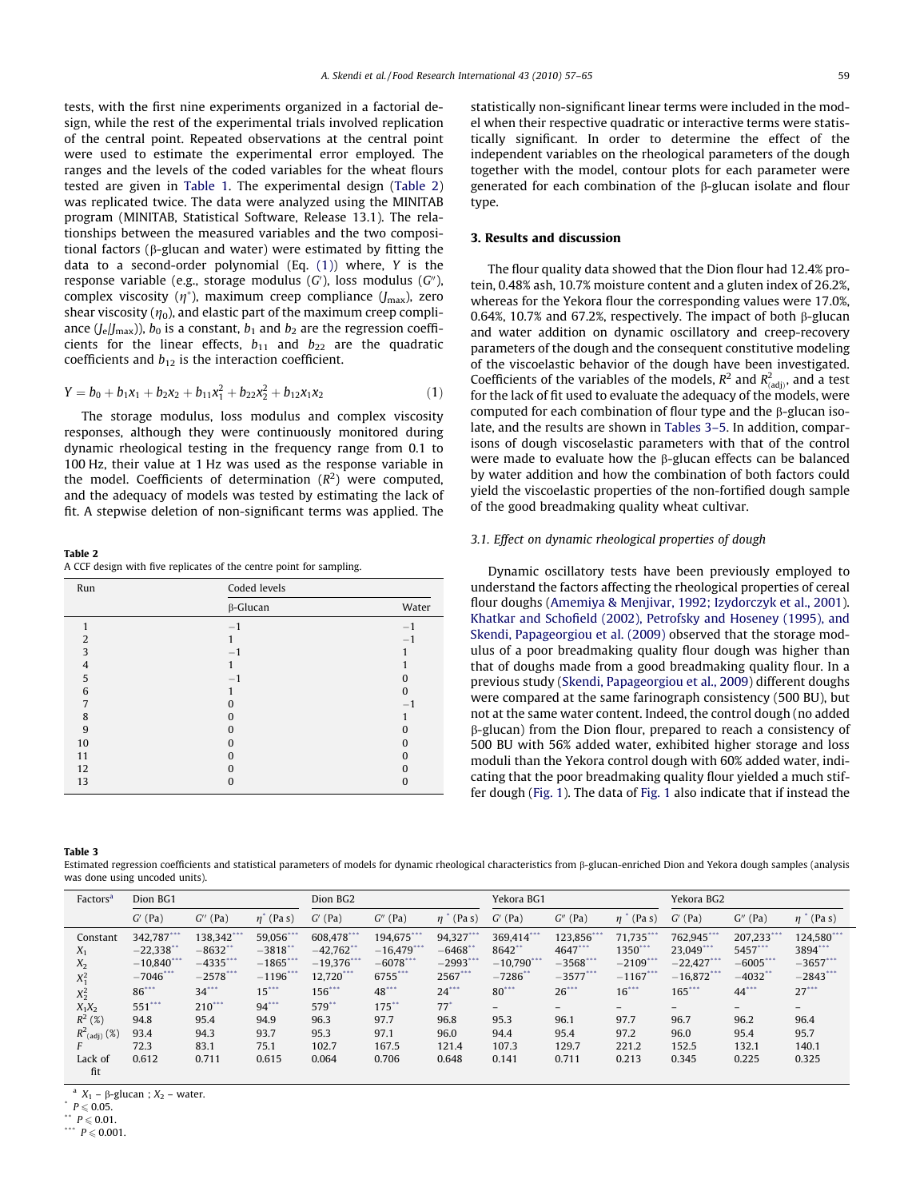<span id="page-2-0"></span>tests, with the first nine experiments organized in a factorial design, while the rest of the experimental trials involved replication of the central point. Repeated observations at the central point were used to estimate the experimental error employed. The ranges and the levels of the coded variables for the wheat flours tested are given in [Table 1](#page-1-0). The experimental design (Table 2) was replicated twice. The data were analyzed using the MINITAB program (MINITAB, Statistical Software, Release 13.1). The relationships between the measured variables and the two compositional factors (b-glucan and water) were estimated by fitting the data to a second-order polynomial (Eq. (1)) where, Y is the response variable (e.g., storage modulus  $(G')$ , loss modulus  $(G'')$ , complex viscosity  $(\eta^*)$ , maximum creep compliance  $(J_{\text{max}})$ , zero shear viscosity  $(\eta_0)$ , and elastic part of the maximum creep compliance  $(J_e/J_{\text{max}})$ ),  $b_0$  is a constant,  $b_1$  and  $b_2$  are the regression coefficients for the linear effects,  $b_{11}$  and  $b_{22}$  are the quadratic coefficients and  $b_{12}$  is the interaction coefficient.

$$
Y = b_0 + b_1x_1 + b_2x_2 + b_{11}x_1^2 + b_{22}x_2^2 + b_{12}x_1x_2 \tag{1}
$$

The storage modulus, loss modulus and complex viscosity responses, although they were continuously monitored during dynamic rheological testing in the frequency range from 0.1 to 100 Hz, their value at 1 Hz was used as the response variable in the model. Coefficients of determination  $(R^2)$  were computed, and the adequacy of models was tested by estimating the lack of fit. A stepwise deletion of non-significant terms was applied. The

Table 2 A CCF design with five replicates of the centre point for sampling.

| Run            | Coded levels    |          |
|----------------|-----------------|----------|
|                | $\beta$ -Glucan | Water    |
|                | $-1$            | $-1$     |
| $\overline{2}$ |                 |          |
| 3              | $-1$            |          |
| 4              |                 |          |
| 5              | $-1$            | 0        |
| 6              |                 | $\Omega$ |
| 7              |                 | $-1$     |
| 8              | 0               |          |
| 9              |                 | n        |
| 10             | 0               | 0        |
| 11             | 0               | O        |
| 12             |                 | O        |
| 13             | O               | 0        |

statistically non-significant linear terms were included in the model when their respective quadratic or interactive terms were statistically significant. In order to determine the effect of the independent variables on the rheological parameters of the dough together with the model, contour plots for each parameter were generated for each combination of the  $\beta$ -glucan isolate and flour type.

### 3. Results and discussion

The flour quality data showed that the Dion flour had 12.4% protein, 0.48% ash, 10.7% moisture content and a gluten index of 26.2%, whereas for the Yekora flour the corresponding values were 17.0%, 0.64%, 10.7% and 67.2%, respectively. The impact of both  $\beta$ -glucan and water addition on dynamic oscillatory and creep-recovery parameters of the dough and the consequent constitutive modeling of the viscoelastic behavior of the dough have been investigated. Coefficients of the variables of the models,  $R^2$  and  $R^2_{(adj)}$ , and a test for the lack of fit used to evaluate the adequacy of the models, were computed for each combination of flour type and the b-glucan isolate, and the results are shown in Tables 3–5. In addition, comparisons of dough viscoselastic parameters with that of the control were made to evaluate how the  $\beta$ -glucan effects can be balanced by water addition and how the combination of both factors could yield the viscoelastic properties of the non-fortified dough sample of the good breadmaking quality wheat cultivar.

### 3.1. Effect on dynamic rheological properties of dough

Dynamic oscillatory tests have been previously employed to understand the factors affecting the rheological properties of cereal flour doughs [\(Amemiya & Menjivar, 1992; Izydorczyk et al., 2001\)](#page-7-0). [Khatkar and Schofield \(2002\), Petrofsky and Hoseney \(1995\), and](#page-8-0) [Skendi, Papageorgiou et al. \(2009\)](#page-8-0) observed that the storage modulus of a poor breadmaking quality flour dough was higher than that of doughs made from a good breadmaking quality flour. In a previous study [\(Skendi, Papageorgiou et al., 2009](#page-8-0)) different doughs were compared at the same farinograph consistency (500 BU), but not at the same water content. Indeed, the control dough (no added  $\beta$ -glucan) from the Dion flour, prepared to reach a consistency of 500 BU with 56% added water, exhibited higher storage and loss moduli than the Yekora control dough with 60% added water, indicating that the poor breadmaking quality flour yielded a much stiffer dough ([Fig. 1\)](#page-3-0). The data of [Fig. 1](#page-3-0) also indicate that if instead the

Table 3

Estimated regression coefficients and statistical parameters of models for dynamic rheological characteristics from b-glucan-enriched Dion and Yekora dough samples (analysis was done using uncoded units).

| Factors <sup>a</sup>                                                                                               | Dion BG1                                                                                                          |                                                                                                                |                                                                                                                         | Dion BG2                                                                                                        |                                                                                                              |                                                                                                                            | Yekora BG1                                                                                                 |                                                                                                                    |                                                                                                                                  | Yekora BG2                                                                                              |                                                                                                        |                                                                                                        |
|--------------------------------------------------------------------------------------------------------------------|-------------------------------------------------------------------------------------------------------------------|----------------------------------------------------------------------------------------------------------------|-------------------------------------------------------------------------------------------------------------------------|-----------------------------------------------------------------------------------------------------------------|--------------------------------------------------------------------------------------------------------------|----------------------------------------------------------------------------------------------------------------------------|------------------------------------------------------------------------------------------------------------|--------------------------------------------------------------------------------------------------------------------|----------------------------------------------------------------------------------------------------------------------------------|---------------------------------------------------------------------------------------------------------|--------------------------------------------------------------------------------------------------------|--------------------------------------------------------------------------------------------------------|
|                                                                                                                    | $G'$ (Pa)                                                                                                         | $G^{\prime\prime}$ (Pa)                                                                                        | $\eta^*$ (Pa s)                                                                                                         | $G'$ (Pa)                                                                                                       | $G''$ (Pa)                                                                                                   | $^{\prime}$ (Pa s)<br>$n^-$                                                                                                | $G'$ (Pa)                                                                                                  | $G''$ (Pa)                                                                                                         | $\eta$ <sup>*</sup> (Pa s)                                                                                                       | $G'$ (Pa)                                                                                               | $G''$ (Pa)                                                                                             | $\eta$ <sup>*</sup> (Pa s)                                                                             |
| Constant<br>$X_1$<br>$X_2$<br>$X_1^2$<br>$X_2^2$<br>$X_1X_2$<br>$R^2$ (%)<br>$R^2$ <sub>(adj)</sub> (%)<br>Lack of | 342,787***<br>$-22,338$ **<br>$-10,840$ ***<br>$-7046$ ***<br>86***<br>$551$ ***<br>94.8<br>93.4<br>72.3<br>0.612 | $138,342$ ***<br>$-8632$<br>$-4335$ ***<br>$-2578$ ***<br>$34***$<br>$210***$<br>95.4<br>94.3<br>83.1<br>0.711 | 59,056***<br>$-3818$ <sup>**</sup><br>$-1865$ ***<br>$-1196$ ***<br>$15***$<br>$94***$<br>94.9<br>93.7<br>75.1<br>0.615 | 608.478***<br>$-42,762$ **<br>$-19.376$ ***<br>12,720***<br>156***<br>$579$ *<br>96.3<br>95.3<br>102.7<br>0.064 | 194,675***<br>$-16,479$ ***<br>$-6078$ ***<br>6755***<br>48***<br>$175$ **<br>97.7<br>97.1<br>167.5<br>0.706 | $94,327***$<br>$-6468$ <sup>*</sup><br>$-2993$ ***<br>2567***<br>$24***$<br>$77^{\circ}$<br>96.8<br>96.0<br>121.4<br>0.648 | 369.414***<br>8642**<br>$-10.790$ ***<br>$-7286$ **<br>$80^{***}$<br>$-$<br>95.3<br>94.4<br>107.3<br>0.141 | 123,856***<br>4647***<br>$-3568$ ***<br>$-3577***$<br>$26$ <sup>***</sup><br>$-$<br>96.1<br>95.4<br>129.7<br>0.711 | $71.735***$<br>$1350$ ***<br>$-2109$ ***<br>$-1167$ ***<br>$16***$<br>$\overline{\phantom{a}}$<br>97.7<br>97.2<br>221.2<br>0.213 | 762,945***<br>23,049***<br>$-22,427$ ***<br>$-16.872$ ***<br>$165***$<br>96.7<br>96.0<br>152.5<br>0.345 | 207,233***<br>5457***<br>$-6005***$<br>$-4032$ **<br>$44$ ***<br>$-$<br>96.2<br>95.4<br>132.1<br>0.225 | 124,580***<br>3894***<br>$-3657***$<br>$-2843$ ***<br>$27***$<br>$-$<br>96.4<br>95.7<br>140.1<br>0.325 |
| fit                                                                                                                |                                                                                                                   |                                                                                                                |                                                                                                                         |                                                                                                                 |                                                                                                              |                                                                                                                            |                                                                                                            |                                                                                                                    |                                                                                                                                  |                                                                                                         |                                                                                                        |                                                                                                        |

<sup>a</sup>  $X_1$  –  $\beta$ -glucan ;  $X_2$  – water.<br> $P \le 0.05$ .

 $P \le 0.01$ .

\*\*\*  $P \le 0.001$ .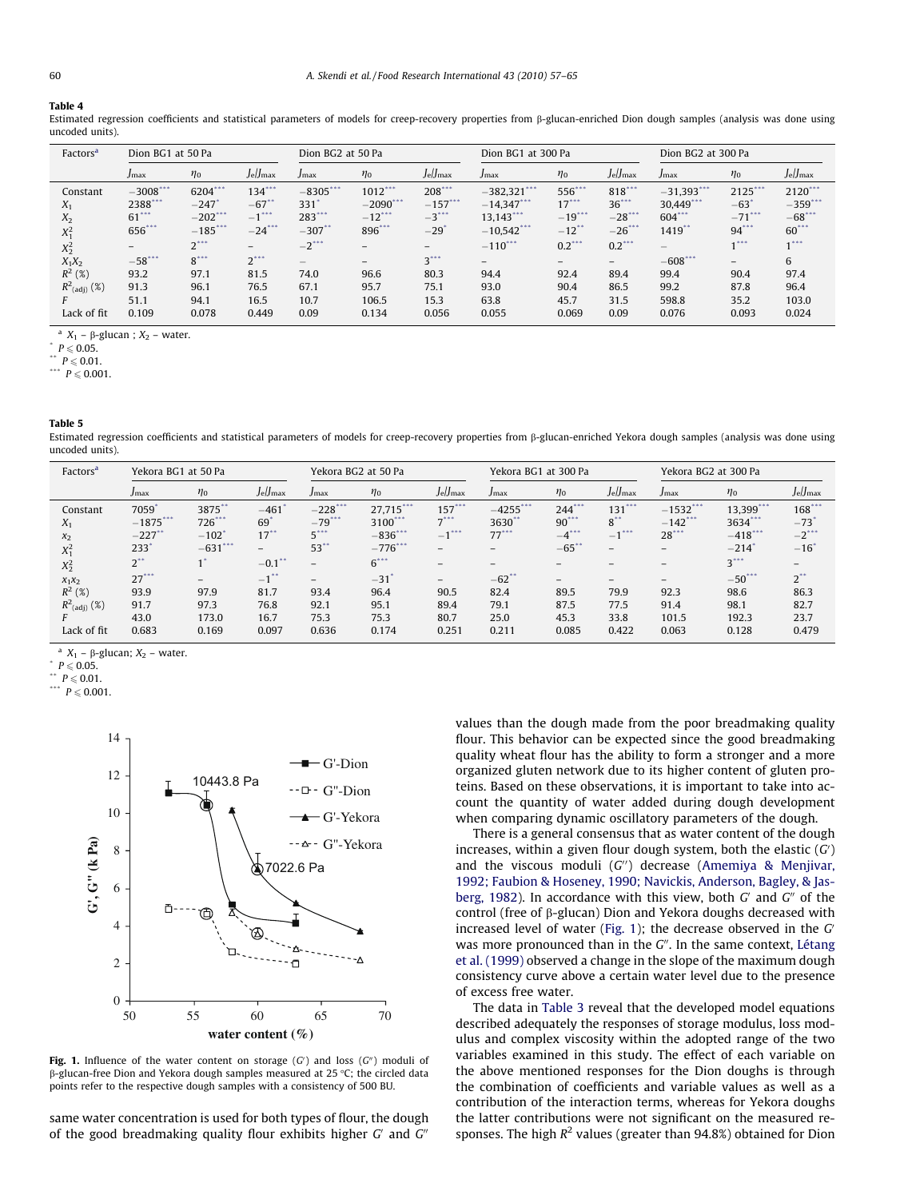#### <span id="page-3-0"></span>Table 4

Estimated regression coefficients and statistical parameters of models for creep-recovery properties from ß-glucan-enriched Dion dough samples (analysis was done using uncoded units).

| Factors <sup>a</sup> | Dion BG1 at 50 Pa   |            |                          | Dion BG2 at 50 Pa                     |                          |            | Dion BG1 at 300 Pa |                          |            | Dion BG2 at 300 Pa |                     |            |
|----------------------|---------------------|------------|--------------------------|---------------------------------------|--------------------------|------------|--------------------|--------------------------|------------|--------------------|---------------------|------------|
|                      | Jmax                | $\eta_0$   | $J$ e/Jmax               | Jmax                                  | $\eta_0$                 | $J$ e/Jmax | Jmax               | $\eta_0$                 | $J$ e/Jmax | Jmax               | $\eta_0$            | $J$ e/Jmax |
| Constant             | $-3008$ ***         | 6204***    | $134***$                 | $-8305***$                            | $1012***$                | $208***$   | $-382,321$ ***     | 556***                   | $818***$   | $-31.393***$       | $2125***$           | $2120$ *** |
| $X_1$                | 2388***             | $-247$     | $-67$ **                 | 331                                   | $-2090$ ***              | $-157***$  | $-14.347$ ***      | $17***$                  | $36***$    | $30.449$ ***       | $-63$               | $-359***$  |
| $X_2$                | $61$ <sup>***</sup> | $-202$ *** | $-1$ <sup>***</sup>      | $283$ ***                             | $-12$ ***                | $-3$ ***   | $13.143$ ***       | $-19***$                 | $-28$ ***  | $604$ ***          | $-71$ ***           | $-68$ ***  |
| $X_1^2$              | 656***              | $-185***$  | $-24$ ***                | $-307$ **                             | 896***                   | $-29$      | $-10,542$ ***      | $-12$ <sup>**</sup>      | $-26$ ***  | $1419$ **          | $94$ ***            | $60^{***}$ |
| $X_2^2$              | -                   | $2***$     | $\overline{\phantom{0}}$ | $-2$ <sup>***</sup>                   | $\overline{\phantom{0}}$ | -          | $-110$ ***         | $0.2$ ***                | $0.2$ ***  |                    | $-1$ <sup>***</sup> |            |
| $X_1X_2$             | $-58$ ***           | $8^{***}$  | $2^{***}$                | $\hspace{1.0cm} \rule{1.5cm}{0.15cm}$ | $-$                      | $3***$     | -                  | $\overline{\phantom{a}}$ | $-$        | $-608$ ***         | -                   | 6          |
| $R^2$ (%)            | 93.2                | 97.1       | 81.5                     | 74.0                                  | 96.6                     | 80.3       | 94.4               | 92.4                     | 89.4       | 99.4               | 90.4                | 97.4       |
| $R^2_{(adj)}$ (%)    | 91.3                | 96.1       | 76.5                     | 67.1                                  | 95.7                     | 75.1       | 93.0               | 90.4                     | 86.5       | 99.2               | 87.8                | 96.4       |
|                      | 51.1                | 94.1       | 16.5                     | 10.7                                  | 106.5                    | 15.3       | 63.8               | 45.7                     | 31.5       | 598.8              | 35.2                | 103.0      |
| Lack of fit          | 0.109               | 0.078      | 0.449                    | 0.09                                  | 0.134                    | 0.056      | 0.055              | 0.069                    | 0.09       | 0.076              | 0.093               | 0.024      |

<sup>a</sup>  $X_1$  –  $\beta$ -glucan ;  $X_2$  – water.<br>
<sup>\*</sup>  $P \le 0.05$ .

 $P \le 0.01$ .

\*\*\*  $P \le 0.001$ .

Table 5

Estimated regression coefficients and statistical parameters of models for creep-recovery properties from *B*-glucan-enriched Yekora dough samples (analysis was done using uncoded units).

| Factors <sup>a</sup>       | Yekora BG1 at 50 Pa |                     |                    | Yekora BG2 at 50 Pa      |                    |                          | Yekora BG1 at 300 Pa     |                          |                      | Yekora BG2 at 300 Pa     |            |                     |
|----------------------------|---------------------|---------------------|--------------------|--------------------------|--------------------|--------------------------|--------------------------|--------------------------|----------------------|--------------------------|------------|---------------------|
|                            | Jmax                | $\eta_0$            | $J$ e/Jmax         | Jmax                     | $\eta_0$           | $J$ e/Jmax               | Jmax                     | $\eta_0$                 | $J$ e/Jmax           | Jmax                     | $\eta_0$   | $J$ e/Jmax          |
| Constant                   | 7059                | 3875**              | $-461$             | $-228***$                | 27.715***          | $157***$                 | $-4255***$               | $244***$                 | $131***$             | $-1532***$               | 13.399***  | 168                 |
| $X_1$                      | $-1875***$          | $726***$            | 69"                | $-79$ ***                | 3100***            | $7***$                   | 3630**                   | $90^{***}$               | $8^{\bullet\bullet}$ | $-142$ ***               | 3634***    | $-73"$              |
| $x_2$                      | $-227$ *            | $-102$ <sup>'</sup> | $17$ **            | $5***$                   | $-836***$          | $-1$ <sup>***</sup>      | $77***$                  | $-4$ ***                 | 上市市场<br>$-1$         | $28***$                  | $-418$ *** | $-2$ <sup>***</sup> |
| $X_1^2$                    | 233                 | $-631$ ***          | -                  | $53$ **                  | $-776$ ***         | $\overline{\phantom{0}}$ | -                        | $-65$                    | -                    | $-$                      | $-214$     | $-16$ <sup>*</sup>  |
| $X_2^2$                    | $2^{**}$            |                     | $-0.1$             | $\overline{\phantom{a}}$ | $6***$             | $-$                      | $\overline{\phantom{0}}$ | $\overline{\phantom{m}}$ | -                    | $\overline{\phantom{a}}$ | $3***$     | $-$                 |
| $x_1x_2$                   | $27***$             | $-$                 | $-1$ <sup>**</sup> | -                        | $-31$ <sup>*</sup> | $\overline{\phantom{0}}$ | $-62$ **                 | $-$                      | -                    | $\overline{\phantom{0}}$ | $-50***$   | $2^{\ast\ast}$      |
| $R^2$ (%)                  | 93.9                | 97.9                | 81.7               | 93.4                     | 96.4               | 90.5                     | 82.4                     | 89.5                     | 79.9                 | 92.3                     | 98.6       | 86.3                |
| $R^2$ <sub>(adj)</sub> (%) | 91.7                | 97.3                | 76.8               | 92.1                     | 95.1               | 89.4                     | 79.1                     | 87.5                     | 77.5                 | 91.4                     | 98.1       | 82.7                |
|                            | 43.0                | 173.0               | 16.7               | 75.3                     | 75.3               | 80.7                     | 25.0                     | 45.3                     | 33.8                 | 101.5                    | 192.3      | 23.7                |
| Lack of fit                | 0.683               | 0.169               | 0.097              | 0.636                    | 0.174              | 0.251                    | 0.211                    | 0.085                    | 0.422                | 0.063                    | 0.128      | 0.479               |

<sup>a</sup>  $X_1$  –  $\beta$ -glucan;  $X_2$  – water.<br> $P \leq 0.05$ .

 $P \leqslant 0.01$ .





Fig. 1. Influence of the water content on storage  $(G')$  and loss  $(G'')$  moduli of  $\beta$ -glucan-free Dion and Yekora dough samples measured at 25 °C; the circled data points refer to the respective dough samples with a consistency of 500 BU.

same water concentration is used for both types of flour, the dough of the good breadmaking quality flour exhibits higher  $G'$  and  $G''$ 

values than the dough made from the poor breadmaking quality flour. This behavior can be expected since the good breadmaking quality wheat flour has the ability to form a stronger and a more organized gluten network due to its higher content of gluten proteins. Based on these observations, it is important to take into account the quantity of water added during dough development when comparing dynamic oscillatory parameters of the dough.

There is a general consensus that as water content of the dough increases, within a given flour dough system, both the elastic  $(G)$ and the viscous moduli  $(G'')$  decrease ([Amemiya & Menjivar,](#page-7-0) [1992; Faubion & Hoseney, 1990; Navickis, Anderson, Bagley, & Jas](#page-7-0)[berg, 1982\)](#page-7-0). In accordance with this view, both  $G'$  and  $G''$  of the control (free of  $\beta$ -glucan) Dion and Yekora doughs decreased with increased level of water (Fig. 1); the decrease observed in the  $G'$ was more pronounced than in the  $G''$ . In the same context, [Létang](#page-8-0) [et al. \(1999\)](#page-8-0) observed a change in the slope of the maximum dough consistency curve above a certain water level due to the presence of excess free water.

The data in [Table 3](#page-2-0) reveal that the developed model equations described adequately the responses of storage modulus, loss modulus and complex viscosity within the adopted range of the two variables examined in this study. The effect of each variable on the above mentioned responses for the Dion doughs is through the combination of coefficients and variable values as well as a contribution of the interaction terms, whereas for Yekora doughs the latter contributions were not significant on the measured responses. The high  $R^2$  values (greater than 94.8%) obtained for Dion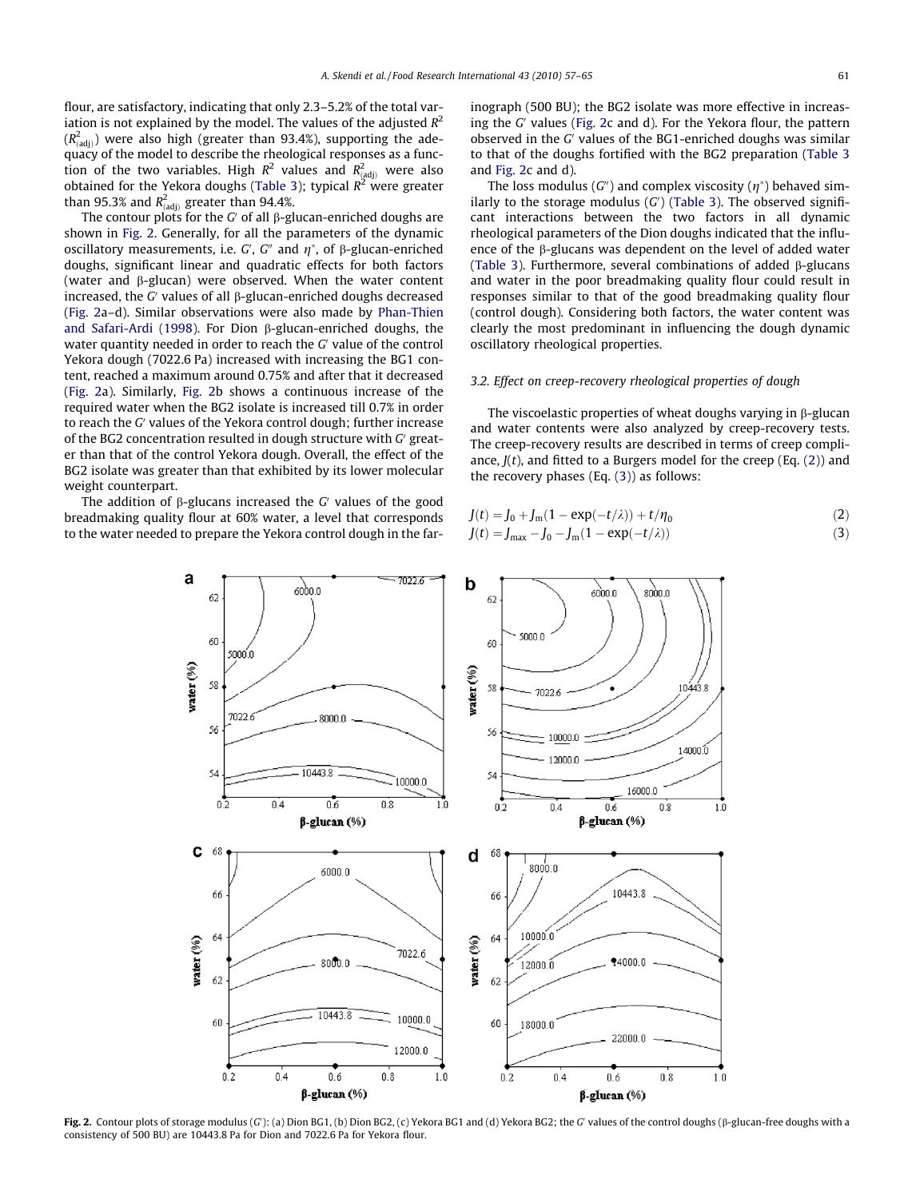flour, are satisfactory, indicating that only 2.3–5.2% of the total variation is not explained by the model. The values of the adjusted  $R^2$  $(R_{\rm (adj)}^2)$  were also high (greater than 93.4%), supporting the adequacy of the model to describe the rheological responses as a function of the two variables. High  $R^2$  values and  $R^2_{(adj)}$  were also obtained for the Yekora doughs [\(Table 3](#page-2-0)); typical  $R^2$  were greater than 95.3% and  $R^2_{\text{(adj)}}$  greater than 94.4%.

The contour plots for the G' of all  $\beta$ -glucan-enriched doughs are shown in Fig. 2. Generally, for all the parameters of the dynamic oscillatory measurements, i.e. G', G" and  $\eta^*$ , of  $\beta$ -glucan-enriched doughs, significant linear and quadratic effects for both factors (water and  $\beta$ -glucan) were observed. When the water content increased, the G' values of all  $\beta$ -glucan-enriched doughs decreased (Fig. 2a–d). Similar observations were also made by [Phan-Thien](#page-8-0) [and Safari-Ardi \(1998\).](#page-8-0) For Dion  $\beta$ -glucan-enriched doughs, the water quantity needed in order to reach the  $G<sub>l</sub>$  value of the control Yekora dough (7022.6 Pa) increased with increasing the BG1 content, reached a maximum around 0.75% and after that it decreased (Fig. 2a). Similarly, Fig. 2b shows a continuous increase of the required water when the BG2 isolate is increased till 0.7% in order to reach the G' values of the Yekora control dough; further increase of the BG2 concentration resulted in dough structure with  $G'$  greater than that of the control Yekora dough. Overall, the effect of the BG2 isolate was greater than that exhibited by its lower molecular weight counterpart.

The addition of  $\beta$ -glucans increased the G' values of the good breadmaking quality flour at 60% water, a level that corresponds to the water needed to prepare the Yekora control dough in the farinograph (500 BU); the BG2 isolate was more effective in increasing the  $G'$  values (Fig. 2c and d). For the Yekora flour, the pattern observed in the  $G'$  values of the BG1-enriched doughs was similar to that of the doughs fortified with the BG2 preparation [\(Table 3](#page-2-0) and Fig. 2c and d).

The loss modulus (G") and complex viscosity ( $\eta^*$ ) behaved similarly to the storage modulus  $(G)$  [\(Table 3](#page-2-0)). The observed significant interactions between the two factors in all dynamic rheological parameters of the Dion doughs indicated that the influence of the b-glucans was dependent on the level of added water ([Table 3](#page-2-0)). Furthermore, several combinations of added b-glucans and water in the poor breadmaking quality flour could result in responses similar to that of the good breadmaking quality flour (control dough). Considering both factors, the water content was clearly the most predominant in influencing the dough dynamic oscillatory rheological properties.

#### 3.2. Effect on creep-recovery rheological properties of dough

The viscoelastic properties of wheat doughs varying in  $\beta$ -glucan and water contents were also analyzed by creep-recovery tests. The creep-recovery results are described in terms of creep compliance,  $J(t)$ , and fitted to a Burgers model for the creep (Eq. (2)) and the recovery phases (Eq. (3)) as follows:

$$
J(t) = J_0 + J_m(1 - \exp(-t/\lambda)) + t/\eta_0
$$
 (2)

$$
J(t) = J_{\text{max}} - J_0 - J_{\text{m}} (1 - \exp(-t/\lambda))
$$
\n(3)



Fig. 2. Contour plots of storage modulus (G'): (a) Dion BG1, (b) Dion BG2, (c) Yekora BG1 and (d) Yekora BG2; the G' values of the control doughs ( $\beta$ -glucan-free doughs with a consistency of 500 BU) are 10443.8 Pa for Dion and 7022.6 Pa for Yekora flour.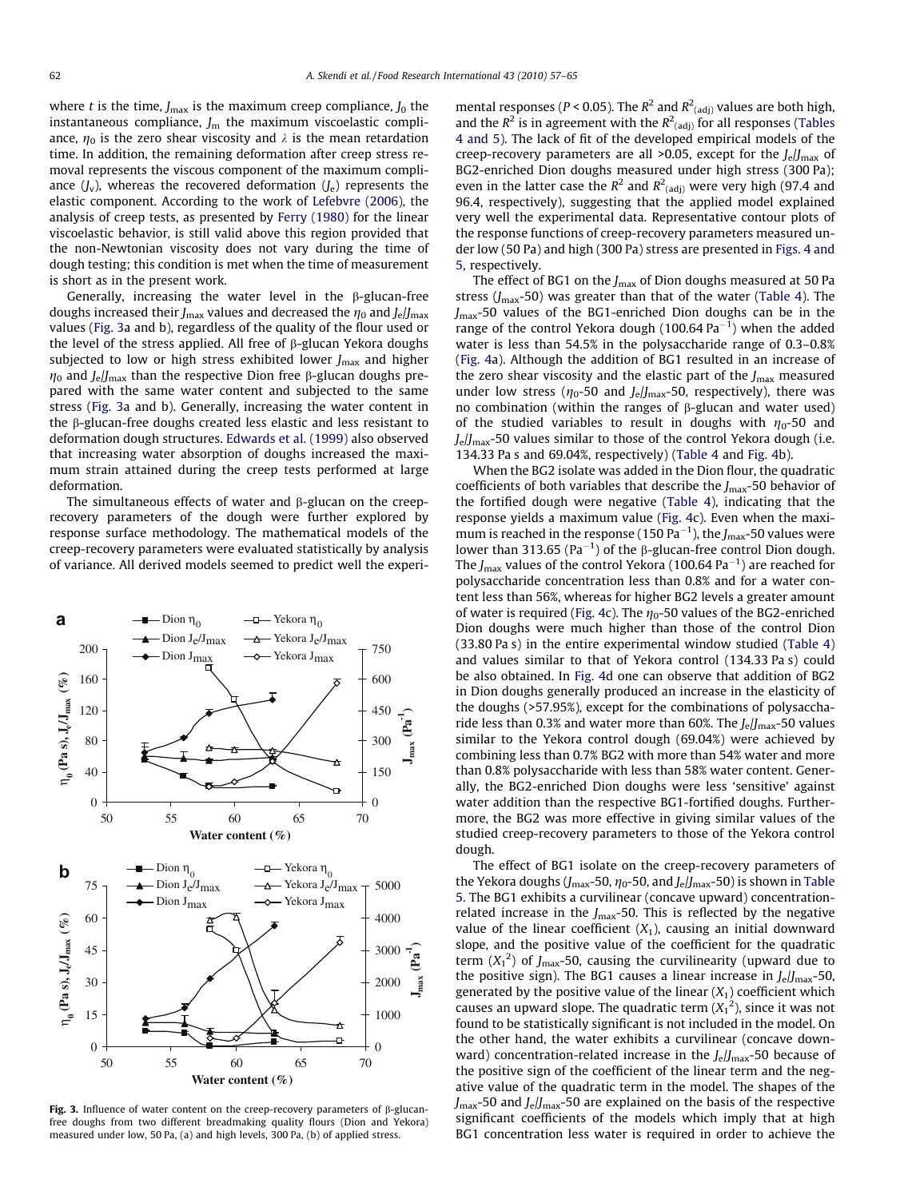where t is the time,  $J_{\text{max}}$  is the maximum creep compliance,  $J_0$  the instantaneous compliance,  $J<sub>m</sub>$  the maximum viscoelastic compliance,  $\eta_0$  is the zero shear viscosity and  $\lambda$  is the mean retardation time. In addition, the remaining deformation after creep stress removal represents the viscous component of the maximum compliance  $(J_v)$ , whereas the recovered deformation  $(J_e)$  represents the elastic component. According to the work of [Lefebvre \(2006\),](#page-8-0) the analysis of creep tests, as presented by [Ferry \(1980\)](#page-7-0) for the linear viscoelastic behavior, is still valid above this region provided that the non-Newtonian viscosity does not vary during the time of dough testing; this condition is met when the time of measurement is short as in the present work.

Generally, increasing the water level in the  $\beta$ -glucan-free doughs increased their  $J_{\text{max}}$  values and decreased the  $\eta_0$  and  $J_e/J_{\text{max}}$ values (Fig. 3a and b), regardless of the quality of the flour used or the level of the stress applied. All free of  $\beta$ -glucan Yekora doughs subjected to low or high stress exhibited lower  $I_{\text{max}}$  and higher  $\eta_0$  and *J<sub>e</sub>*/*J<sub>max</sub>* than the respective Dion free  $\beta$ -glucan doughs prepared with the same water content and subjected to the same stress (Fig. 3a and b). Generally, increasing the water content in the b-glucan-free doughs created less elastic and less resistant to deformation dough structures. [Edwards et al. \(1999\)](#page-7-0) also observed that increasing water absorption of doughs increased the maximum strain attained during the creep tests performed at large deformation.

The simultaneous effects of water and  $\beta$ -glucan on the creeprecovery parameters of the dough were further explored by response surface methodology. The mathematical models of the creep-recovery parameters were evaluated statistically by analysis of variance. All derived models seemed to predict well the experi-



Fig. 3. Influence of water content on the creep-recovery parameters of  $\beta$ -glucanfree doughs from two different breadmaking quality flours (Dion and Yekora) measured under low, 50 Pa, (a) and high levels, 300 Pa, (b) of applied stress.

mental responses (P < 0.05). The  $R^2$  and  $R^2$ <sub>(adj)</sub> values are both high, and the  $R^2$  is in agreement with the  $R^2$ <sub>(adj)</sub> for all responses ([Tables](#page-3-0) [4 and 5\)](#page-3-0). The lack of fit of the developed empirical models of the creep-recovery parameters are all >0.05, except for the  $J<sub>e</sub>/J<sub>max</sub>$  of BG2-enriched Dion doughs measured under high stress (300 Pa); even in the latter case the  $R^2$  and  $R^2$ <sub>(adj)</sub> were very high (97.4 and 96.4, respectively), suggesting that the applied model explained very well the experimental data. Representative contour plots of the response functions of creep-recovery parameters measured under low (50 Pa) and high (300 Pa) stress are presented in [Figs. 4 and](#page-6-0) [5](#page-6-0), respectively.

The effect of BG1 on the  $J_{\text{max}}$  of Dion doughs measured at 50 Pa stress ( $J_{\text{max}}$ -50) was greater than that of the water ([Table 4\)](#page-3-0). The  $J_{\text{max}}$ -50 values of the BG1-enriched Dion doughs can be in the range of the control Yekora dough  $(100.64 \text{ Pa}^{-1})$  when the added water is less than 54.5% in the polysaccharide range of 0.3–0.8% ([Fig. 4a](#page-6-0)). Although the addition of BG1 resulted in an increase of the zero shear viscosity and the elastic part of the  $J_{\text{max}}$  measured under low stress ( $\eta_0$ -50 and J<sub>e</sub>/J<sub>max</sub>-50, respectively), there was no combination (within the ranges of  $\beta$ -glucan and water used) of the studied variables to result in doughs with  $\eta_0$ -50 and  $J_{\text{e}}/J_{\text{max}}$ -50 values similar to those of the control Yekora dough (i.e. 134.33 Pa s and 69.04%, respectively) ([Table 4](#page-3-0) and [Fig. 4b](#page-6-0)).

When the BG2 isolate was added in the Dion flour, the quadratic coefficients of both variables that describe the  $J_{\text{max}}$ -50 behavior of the fortified dough were negative ([Table 4\)](#page-3-0), indicating that the response yields a maximum value [\(Fig. 4c](#page-6-0)). Even when the maximum is reached in the response (150  $Pa^{-1}$ ), the  $J_{\rm max}$ -50 values were lower than 313.65 (Pa<sup>-1</sup>) of the  $\beta$ -glucan-free control Dion dough. The  $J_{\rm max}$  values of the control Yekora (100.64 Pa<sup>-1</sup>) are reached for polysaccharide concentration less than 0.8% and for a water content less than 56%, whereas for higher BG2 levels a greater amount of water is required ([Fig. 4c](#page-6-0)). The  $\eta_0$ -50 values of the BG2-enriched Dion doughs were much higher than those of the control Dion (33.80 Pa s) in the entire experimental window studied ([Table 4\)](#page-3-0) and values similar to that of Yekora control (134.33 Pa s) could be also obtained. In [Fig. 4](#page-6-0)d one can observe that addition of BG2 in Dion doughs generally produced an increase in the elasticity of the doughs (>57.95%), except for the combinations of polysaccharide less than 0.3% and water more than 60%. The  $J_{\text{e}}/J_{\text{max}}$ -50 values similar to the Yekora control dough (69.04%) were achieved by combining less than 0.7% BG2 with more than 54% water and more than 0.8% polysaccharide with less than 58% water content. Generally, the BG2-enriched Dion doughs were less 'sensitive' against water addition than the respective BG1-fortified doughs. Furthermore, the BG2 was more effective in giving similar values of the studied creep-recovery parameters to those of the Yekora control dough.

The effect of BG1 isolate on the creep-recovery parameters of the Yekora doughs ( $J_{\text{max}}$ -50,  $\eta_0$ -50, and  $J_e/J_{\text{max}}$ -50) is shown in [Table](#page-3-0) [5](#page-3-0). The BG1 exhibits a curvilinear (concave upward) concentrationrelated increase in the  $J_{\text{max}}$ -50. This is reflected by the negative value of the linear coefficient  $(X_1)$ , causing an initial downward slope, and the positive value of the coefficient for the quadratic term  $(X_1^2)$  of J<sub>max</sub>-50, causing the curvilinearity (upward due to the positive sign). The BG1 causes a linear increase in  $J_e/J_{\text{max}}$ -50, generated by the positive value of the linear  $(X_1)$  coefficient which causes an upward slope. The quadratic term  $(X_1^2)$ , since it was not found to be statistically significant is not included in the model. On the other hand, the water exhibits a curvilinear (concave downward) concentration-related increase in the  $J<sub>e</sub>/J<sub>max</sub>$ -50 because of the positive sign of the coefficient of the linear term and the negative value of the quadratic term in the model. The shapes of the  $J_{\text{max}}$ -50 and  $J_{\text{e}}/J_{\text{max}}$ -50 are explained on the basis of the respective significant coefficients of the models which imply that at high BG1 concentration less water is required in order to achieve the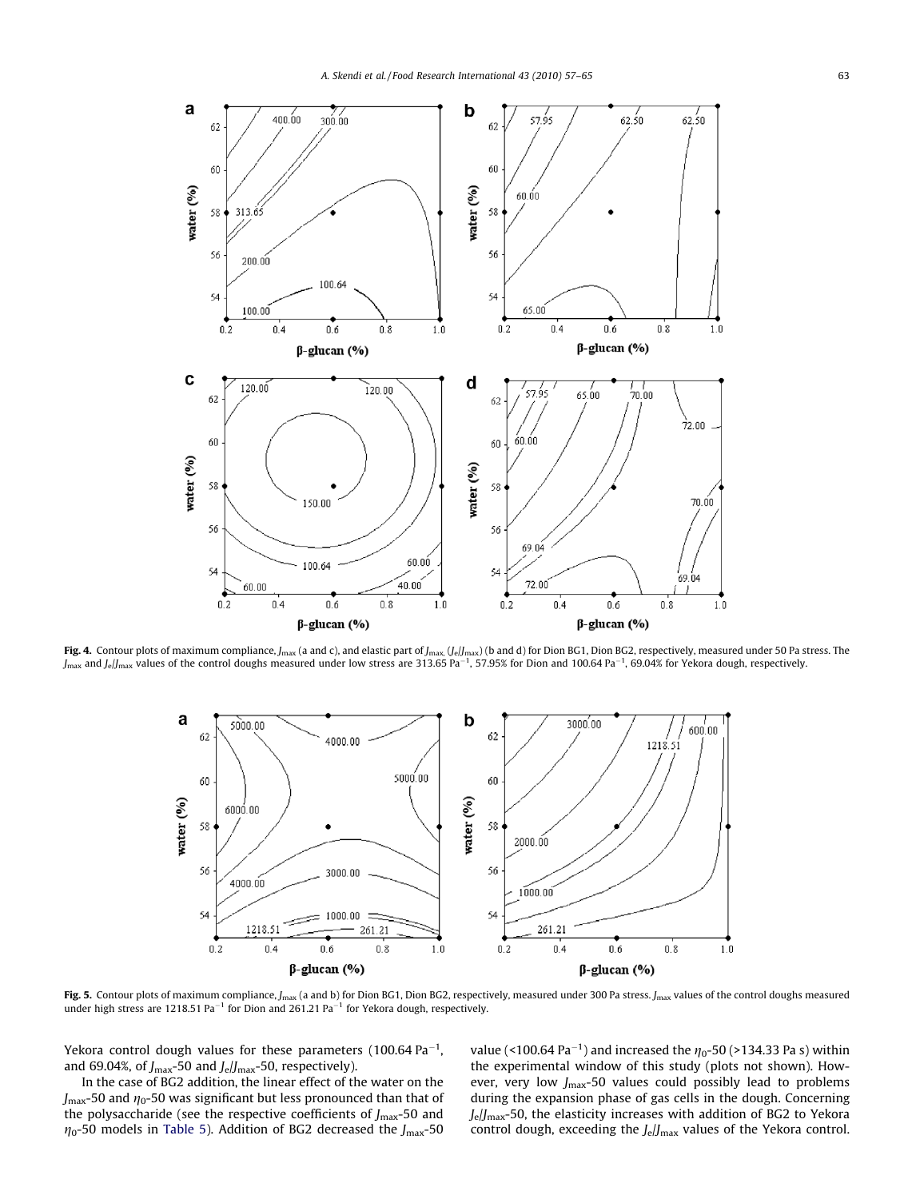<span id="page-6-0"></span>

**Fig. 4.** Contour plots of maximum compliance, J<sub>max</sub> (a and c), and elastic part of J<sub>max,</sub> (J<sub>e</sub>/J<sub>max</sub>, (b and d) for Dion BG1, Dion BG2, respectively, measured under 50 Pa stress. The<br>J<sub>max</sub> and J<sub>e</sub>/J<sub>max</sub> values of t



Fig. 5. Contour plots of maximum compliance,  $J_{\text{max}}$  (a and b) for Dion BG1, Dion BG2, respectively, measured under 300 Pa stress.  $J_{\text{max}}$  values of the control doughs measured under high stress are 1218.51 Pa<sup>-1</sup> for Dion and 261.21 Pa<sup>-1</sup> for Yekora dough, respectively.

Yekora control dough values for these parameters (100.64  $\mathrm{Pa}^{-1}$ , and 69.04%, of  $J_{\text{max}}$ -50 and  $J_{\text{e}}/J_{\text{max}}$ -50, respectively).

In the case of BG2 addition, the linear effect of the water on the  $J_{\text{max}}$ -50 and  $\eta$ <sup>-50</sup> was significant but less pronounced than that of the polysaccharide (see the respective coefficients of  $J_{\text{max}}$ -50 and  $\eta_0$ -50 models in [Table 5\)](#page-3-0). Addition of BG2 decreased the J<sub>max</sub>-50

value (<100.64 Pa<sup>-1</sup>) and increased the  $\eta$ <sub>0</sub>-50 (>134.33 Pa s) within the experimental window of this study (plots not shown). However, very low  $J_{\text{max}}$ -50 values could possibly lead to problems during the expansion phase of gas cells in the dough. Concerning  $J_e/J_{\text{max}}$ -50, the elasticity increases with addition of BG2 to Yekora control dough, exceeding the  $J_e/J_{\text{max}}$  values of the Yekora control.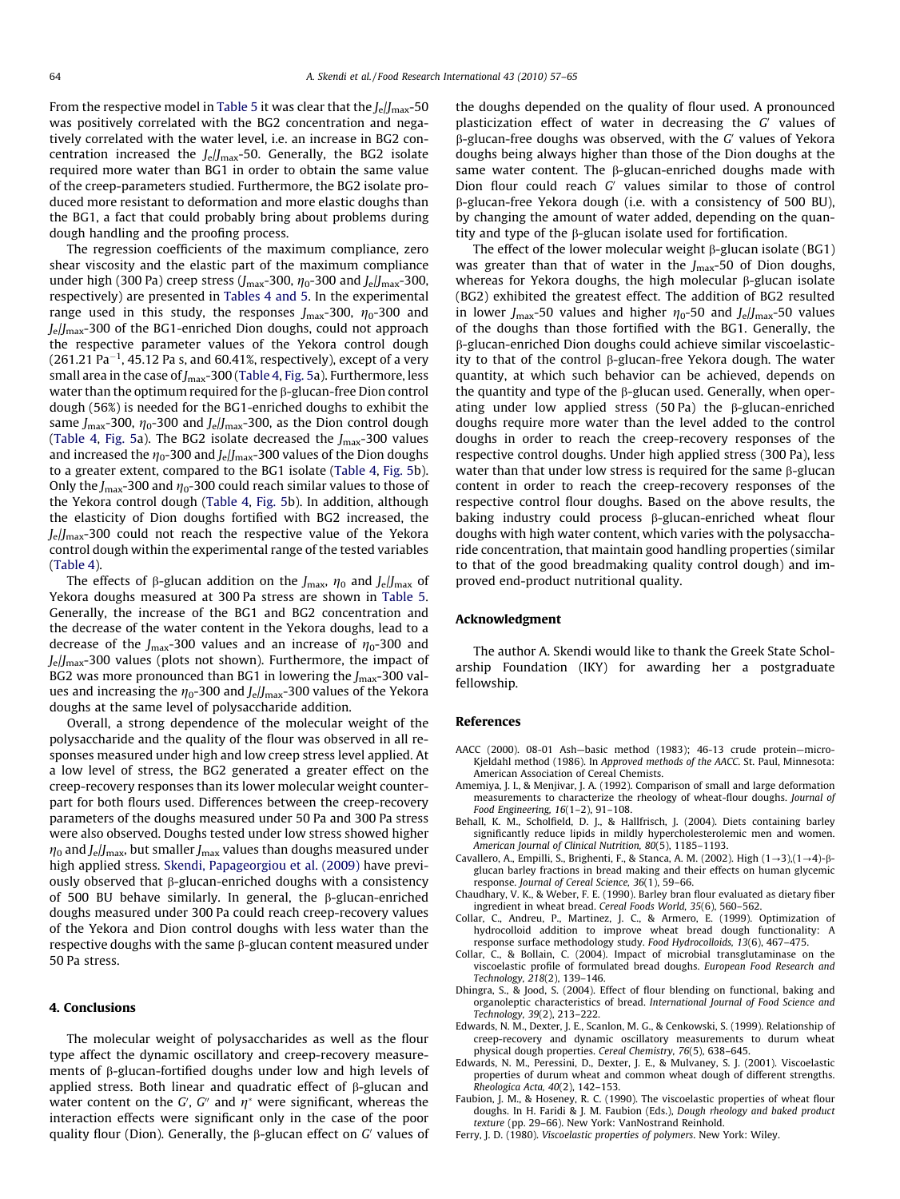<span id="page-7-0"></span>From the respective model in [Table 5](#page-3-0) it was clear that the  $J_{\text{e}}/J_{\text{max}}$ -50 was positively correlated with the BG2 concentration and negatively correlated with the water level, i.e. an increase in BG2 concentration increased the  $J_e/I_{\text{max}}$ -50. Generally, the BG2 isolate required more water than BG1 in order to obtain the same value of the creep-parameters studied. Furthermore, the BG2 isolate produced more resistant to deformation and more elastic doughs than the BG1, a fact that could probably bring about problems during dough handling and the proofing process.

The regression coefficients of the maximum compliance, zero shear viscosity and the elastic part of the maximum compliance under high (300 Pa) creep stress ( $J_{\text{max}}$ -300,  $\eta_0$ -300 and  $J_e/J_{\text{max}}$ -300, respectively) are presented in [Tables 4 and 5.](#page-3-0) In the experimental range used in this study, the responses  $J_{\text{max}}$ -300,  $\eta_0$ -300 and Je/Jmax-300 of the BG1-enriched Dion doughs, could not approach the respective parameter values of the Yekora control dough (261.21 Pa $^{-1}$ , 45.12 Pa s, and 60.41%, respectively), except of a very small area in the case of  $J_{\text{max}}$ -300 [\(Table 4,](#page-3-0) [Fig. 5a](#page-6-0)). Furthermore, less water than the optimum required for the  $\beta$ -glucan-free Dion control dough (56%) is needed for the BG1-enriched doughs to exhibit the same  $J_{\text{max}}$ -300,  $\eta_0$ -300 and  $J_e/J_{\text{max}}$ -300, as the Dion control dough ([Table 4](#page-3-0), [Fig. 5a](#page-6-0)). The BG2 isolate decreased the  $J_{\text{max}}$ -300 values and increased the  $\eta_0$ -300 and  $J_e/J_{\text{max}}$ -300 values of the Dion doughs to a greater extent, compared to the BG1 isolate ([Table 4](#page-3-0), [Fig. 5](#page-6-0)b). Only the  $J_{\text{max}}$ -300 and  $\eta_0$ -300 could reach similar values to those of the Yekora control dough ([Table 4,](#page-3-0) [Fig. 5b](#page-6-0)). In addition, although the elasticity of Dion doughs fortified with BG2 increased, the  $J<sub>e</sub>/J<sub>max</sub>$ -300 could not reach the respective value of the Yekora control dough within the experimental range of the tested variables ([Table 4\)](#page-3-0).

The effects of  $\beta$ -glucan addition on the  $J_{\text{max}}$ ,  $\eta_0$  and  $J_e/J_{\text{max}}$  of Yekora doughs measured at 300 Pa stress are shown in [Table 5.](#page-3-0) Generally, the increase of the BG1 and BG2 concentration and the decrease of the water content in the Yekora doughs, lead to a decrease of the  $J_{\text{max}}$ -300 values and an increase of  $\eta_0$ -300 and  $J_e/J_{\text{max}}$ -300 values (plots not shown). Furthermore, the impact of BG2 was more pronounced than BG1 in lowering the  $J_{\text{max}}$ -300 values and increasing the  $\eta_0$ -300 and  $J_e/J_{\text{max}}$ -300 values of the Yekora doughs at the same level of polysaccharide addition.

Overall, a strong dependence of the molecular weight of the polysaccharide and the quality of the flour was observed in all responses measured under high and low creep stress level applied. At a low level of stress, the BG2 generated a greater effect on the creep-recovery responses than its lower molecular weight counterpart for both flours used. Differences between the creep-recovery parameters of the doughs measured under 50 Pa and 300 Pa stress were also observed. Doughs tested under low stress showed higher  $\eta_0$  and J<sub>e</sub>/J<sub>max</sub>, but smaller J<sub>max</sub> values than doughs measured under high applied stress. [Skendi, Papageorgiou et al. \(2009\)](#page-8-0) have previously observed that  $\beta$ -glucan-enriched doughs with a consistency of 500 BU behave similarly. In general, the  $\beta$ -glucan-enriched doughs measured under 300 Pa could reach creep-recovery values of the Yekora and Dion control doughs with less water than the respective doughs with the same  $\beta$ -glucan content measured under 50 Pa stress.

#### 4. Conclusions

The molecular weight of polysaccharides as well as the flour type affect the dynamic oscillatory and creep-recovery measurements of  $\beta$ -glucan-fortified doughs under low and high levels of applied stress. Both linear and quadratic effect of  $\beta$ -glucan and water content on the G', G" and  $\eta^*$  were significant, whereas the interaction effects were significant only in the case of the poor quality flour (Dion). Generally, the  $\beta$ -glucan effect on G' values of the doughs depended on the quality of flour used. A pronounced plasticization effect of water in decreasing the  $G'$  values of  $\beta$ -glucan-free doughs was observed, with the G' values of Yekora doughs being always higher than those of the Dion doughs at the same water content. The  $\beta$ -glucan-enriched doughs made with Dion flour could reach  $G'$  values similar to those of control b-glucan-free Yekora dough (i.e. with a consistency of 500 BU), by changing the amount of water added, depending on the quantity and type of the  $\beta$ -glucan isolate used for fortification.

The effect of the lower molecular weight  $\beta$ -glucan isolate (BG1) was greater than that of water in the  $J_{\text{max}}$ -50 of Dion doughs, whereas for Yekora doughs, the high molecular  $\beta$ -glucan isolate (BG2) exhibited the greatest effect. The addition of BG2 resulted in lower J<sub>max</sub>-50 values and higher  $\eta_0$ -50 and J<sub>e</sub>/J<sub>max</sub>-50 values of the doughs than those fortified with the BG1. Generally, the b-glucan-enriched Dion doughs could achieve similar viscoelasticity to that of the control  $\beta$ -glucan-free Yekora dough. The water quantity, at which such behavior can be achieved, depends on the quantity and type of the  $\beta$ -glucan used. Generally, when operating under low applied stress (50 Pa) the  $\beta$ -glucan-enriched doughs require more water than the level added to the control doughs in order to reach the creep-recovery responses of the respective control doughs. Under high applied stress (300 Pa), less water than that under low stress is required for the same  $\beta$ -glucan content in order to reach the creep-recovery responses of the respective control flour doughs. Based on the above results, the baking industry could process  $\beta$ -glucan-enriched wheat flour doughs with high water content, which varies with the polysaccharide concentration, that maintain good handling properties (similar to that of the good breadmaking quality control dough) and improved end-product nutritional quality.

#### Acknowledgment

The author A. Skendi would like to thank the Greek State Scholarship Foundation (IKY) for awarding her a postgraduate fellowship.

#### References

- AACC (2000). 08-01 Ash—basic method (1983); 46-13 crude protein—micro-Kjeldahl method (1986). In Approved methods of the AACC. St. Paul, Minnesota: American Association of Cereal Chemists.
- Amemiya, J. I., & Menjivar, J. A. (1992). Comparison of small and large deformation measurements to characterize the rheology of wheat-flour doughs. Journal of Food Engineering, 16(1–2), 91–108.
- Behall, K. M., Scholfield, D. J., & Hallfrisch, J. (2004). Diets containing barley significantly reduce lipids in mildly hypercholesterolemic men and women. American Journal of Clinical Nutrition, 80(5), 1185–1193.
- Cavallero, A., Empilli, S., Brighenti, F., & Stanca, A. M. (2002). High  $(1\rightarrow 3)$ , $(1\rightarrow 4)$ - $\beta$ glucan barley fractions in bread making and their effects on human glycemic response. Journal of Cereal Science, 36(1), 59–66.
- Chaudhary, V. K., & Weber, F. E. (1990). Barley bran flour evaluated as dietary fiber ingredient in wheat bread. Cereal Foods World, 35(6), 560–562.
- Collar, C., Andreu, P., Martinez, J. C., & Armero, E. (1999). Optimization of hydrocolloid addition to improve wheat bread dough functionality: A response surface methodology study. Food Hydrocolloids, 13(6), 467–475.
- Collar, C., & Bollain, C. (2004). Impact of microbial transglutaminase on the viscoelastic profile of formulated bread doughs. European Food Research and Technology, 218(2), 139–146.
- Dhingra, S., & Jood, S. (2004). Effect of flour blending on functional, baking and organoleptic characteristics of bread. International Journal of Food Science and Technology, 39(2), 213–222.
- Edwards, N. M., Dexter, J. E., Scanlon, M. G., & Cenkowski, S. (1999). Relationship of creep-recovery and dynamic oscillatory measurements to durum wheat physical dough properties. Cereal Chemistry, 76(5), 638–645.
- Edwards, N. M., Peressini, D., Dexter, J. E., & Mulvaney, S. J. (2001). Viscoelastic properties of durum wheat and common wheat dough of different strengths. Rheologica Acta, 40(2), 142–153.
- Faubion, J. M., & Hoseney, R. C. (1990). The viscoelastic properties of wheat flour doughs. In H. Faridi & J. M. Faubion (Eds.), Dough rheology and baked product texture (pp. 29–66). New York: VanNostrand Reinhold.
- Ferry, J. D. (1980). Viscoelastic properties of polymers. New York: Wiley.